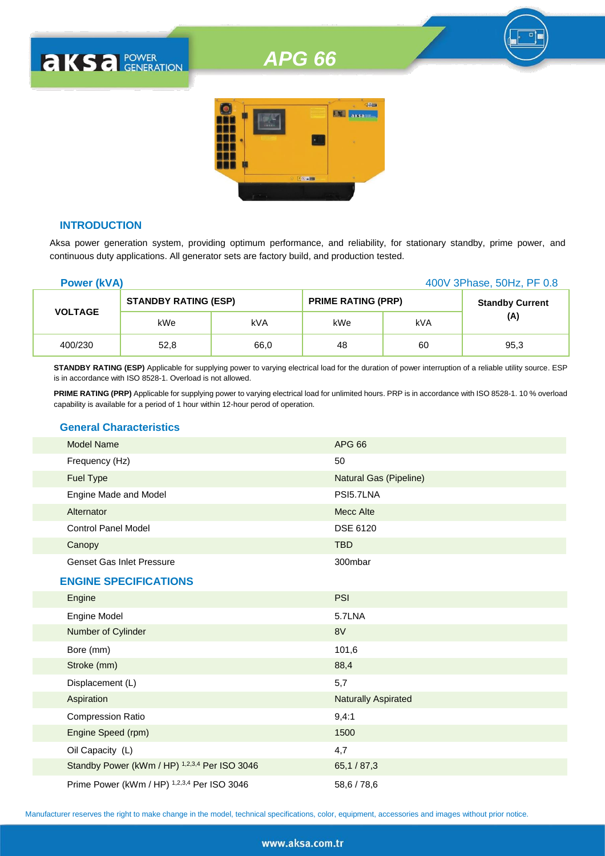# *APG 66*



# **INTRODUCTION**

**AKSA POWER** 

Aksa power generation system, providing optimum performance, and reliability, for stationary standby, prime power, and continuous duty applications. All generator sets are factory build, and production tested.

| <b>Power (kVA)</b> |                             |      |                           |     | 400V 3Phase, 50Hz, PF 0.8 |
|--------------------|-----------------------------|------|---------------------------|-----|---------------------------|
|                    | <b>STANDBY RATING (ESP)</b> |      | <b>PRIME RATING (PRP)</b> |     | <b>Standby Current</b>    |
| <b>VOLTAGE</b>     | kWe                         | kVA  | kWe                       | kVA | (A)                       |
| 400/230            | 52,8                        | 66,0 | 48                        | 60  | 95,3                      |

**STANDBY RATING (ESP)** Applicable for supplying power to varying electrical load for the duration of power interruption of a reliable utility source. ESP is in accordance with ISO 8528-1. Overload is not allowed.

**PRIME RATING (PRP)** Applicable for supplying power to varying electrical load for unlimited hours. PRP is in accordance with ISO 8528-1. 10 % overload capability is available for a period of 1 hour within 12-hour perod of operation.

# **General Characteristics**

| <b>Model Name</b>                | <b>APG 66</b>          |
|----------------------------------|------------------------|
| Frequency (Hz)                   | 50                     |
| <b>Fuel Type</b>                 | Natural Gas (Pipeline) |
| Engine Made and Model            | PSI5.7LNA              |
| Alternator                       | Mecc Alte              |
| <b>Control Panel Model</b>       | <b>DSE 6120</b>        |
| Canopy                           | <b>TBD</b>             |
| <b>Genset Gas Inlet Pressure</b> | 300mbar                |
| <b>ENGINE SPECIFICATIONS</b>     |                        |
| Engine                           | <b>PSI</b>             |
| Engine Model                     | 5.7LNA                 |
| Number of Cylinder               | 8V                     |
| Bore (mm)                        | 101,6                  |
| Stroke (mm)                      | 88,4                   |

| Displacement (L)                              | 5,7                        |
|-----------------------------------------------|----------------------------|
| Aspiration                                    | <b>Naturally Aspirated</b> |
| <b>Compression Ratio</b>                      | 9.4:1                      |
| Engine Speed (rpm)                            | 1500                       |
| Oil Capacity (L)                              | 4,7                        |
| Standby Power (kWm / HP) 1,2,3,4 Per ISO 3046 | 65,1/87,3                  |
| Prime Power (kWm / HP) 1,2,3,4 Per ISO 3046   | 58,6 / 78,6                |

Manufacturer reserves the right to make change in the model, technical specifications, color, equipment, accessories and images without prior notice.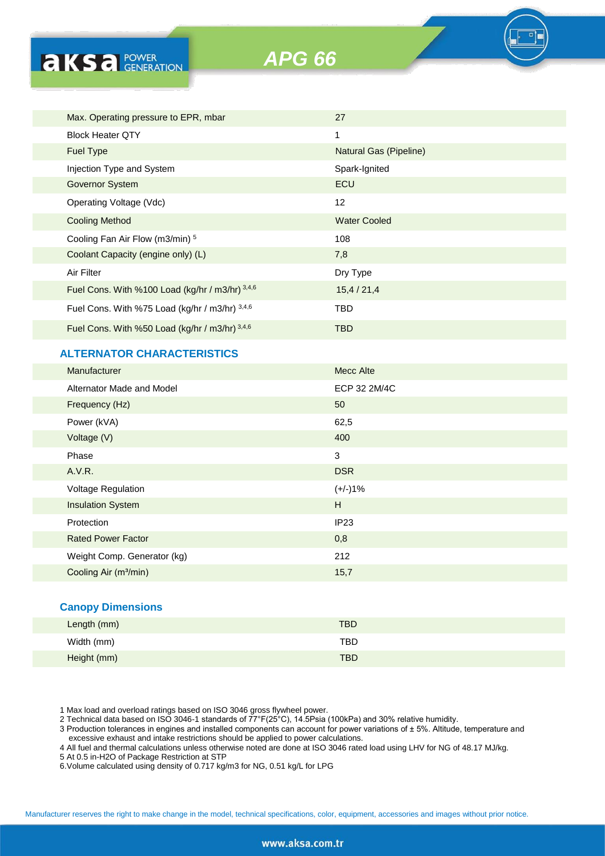**AKS** *B CENERATION* 

*APG 66*

| Max. Operating pressure to EPR, mbar            | 27                     |
|-------------------------------------------------|------------------------|
| <b>Block Heater QTY</b>                         | 1                      |
| <b>Fuel Type</b>                                | Natural Gas (Pipeline) |
| Injection Type and System                       | Spark-Ignited          |
| <b>Governor System</b>                          | ECU                    |
| Operating Voltage (Vdc)                         | 12                     |
| Cooling Method                                  | <b>Water Cooled</b>    |
| Cooling Fan Air Flow (m3/min) 5                 | 108                    |
| Coolant Capacity (engine only) (L)              | 7,8                    |
| Air Filter                                      | Dry Type               |
| Fuel Cons. With %100 Load (kg/hr / m3/hr) 3,4,6 | 15,4/21,4              |
| Fuel Cons. With %75 Load (kg/hr / m3/hr) 3,4,6  | TBD                    |
| Fuel Cons. With %50 Load (kg/hr / m3/hr) 3,4,6  | <b>TBD</b>             |
|                                                 |                        |

# **ALTERNATOR CHARACTERISTICS**

| <b>Manufacturer</b>               | <b>Mecc Alte</b> |
|-----------------------------------|------------------|
| Alternator Made and Model         | ECP 32 2M/4C     |
| Frequency (Hz)                    | 50               |
| Power (kVA)                       | 62,5             |
| Voltage (V)                       | 400              |
| Phase                             | 3                |
| A.V.R.                            | <b>DSR</b>       |
| <b>Voltage Regulation</b>         | $(+/-)1%$        |
| <b>Insulation System</b>          | H                |
| Protection                        | IP <sub>23</sub> |
| <b>Rated Power Factor</b>         | 0,8              |
| Weight Comp. Generator (kg)       | 212              |
| Cooling Air (m <sup>3</sup> /min) | 15,7             |
|                                   |                  |

# **Canopy Dimensions**

| Length (mm) | <b>TBD</b> |
|-------------|------------|
| Width (mm)  | TBD        |
| Height (mm) | <b>TBD</b> |

1 Max load and overload ratings based on ISO 3046 gross flywheel power.

2 Technical data based on ISO 3046-1 standards of 77°F(25°C), 14.5Psia (100kPa) and 30% relative humidity.

3 Production tolerances in engines and installed components can account for power variations of ± 5%. Altitude, temperature and excessive exhaust and intake restrictions should be applied to power calculations.

4 All fuel and thermal calculations unless otherwise noted are done at ISO 3046 rated load using LHV for NG of 48.17 MJ/kg.

5 At 0.5 in-H2O of Package Restriction at STP

6.Volume calculated using density of 0.717 kg/m3 for NG, 0.51 kg/L for LPG

Manufacturer reserves the right to make change in the model, technical specifications, color, equipment, accessories and images without prior notice.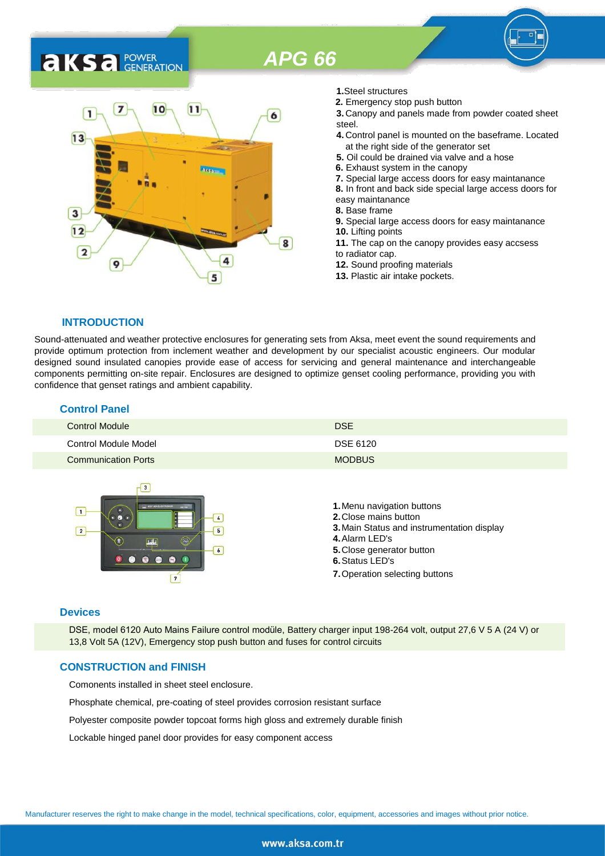# *APG 66*

# **AKSA** POWER



- **1.**Steel structures
- **2.** Emergency stop push button
- **3.** Canopy and panels made from powder coated sheet steel.
- **4.** Control panel is mounted on the baseframe. Located at the right side of the generator set
- **5.** Oil could be drained via valve and a hose
- **6.** Exhaust system in the canopy
- **7.** Special large access doors for easy maintanance
- **8.** In front and back side special large access doors for
- easy maintanance
- **8.** Base frame
- **9.** Special large access doors for easy maintanance **10.** Lifting points **11.** The cap on the canopy provides easy accsess
- to radiator cap.
- **12.** Sound proofing materials
- **13.** Plastic air intake pockets.

#### **INTRODUCTION**

Sound-attenuated and weather protective enclosures for generating sets from Aksa, meet event the sound requirements and provide optimum protection from inclement weather and development by our specialist acoustic engineers. Our modular designed sound insulated canopies provide ease of access for servicing and general maintenance and interchangeable components permitting on-site repair. Enclosures are designed to optimize genset cooling performance, providing you with confidence that genset ratings and ambient capability.

| <b>Control Panel</b>       |               |
|----------------------------|---------------|
| Control Module             | <b>DSE</b>    |
| Control Module Model       | DSE 6120      |
| <b>Communication Ports</b> | <b>MODBUS</b> |



#### **Devices**

DSE, model 6120 Auto Mains Failure control modüle, Battery charger input 198-264 volt, output 27,6 V 5 A (24 V) or 13,8 Volt 5A (12V), Emergency stop push button and fuses for control circuits

# **CONSTRUCTION and FINISH**

Comonents installed in sheet steel enclosure.

Phosphate chemical, pre-coating of steel provides corrosion resistant surface

Polyester composite powder topcoat forms high gloss and extremely durable finish

Lockable hinged panel door provides for easy component access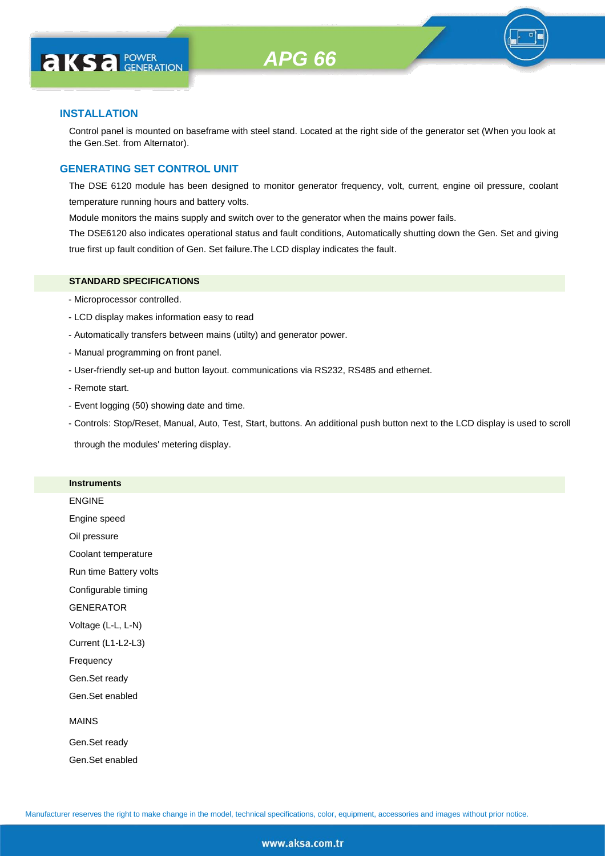

# **INSTALLATION**

Control panel is mounted on baseframe with steel stand. Located at the right side of the generator set (When you look at the Gen.Set. from Alternator).

# **GENERATING SET CONTROL UNIT**

The DSE 6120 module has been designed to monitor generator frequency, volt, current, engine oil pressure, coolant temperature running hours and battery volts.

Module monitors the mains supply and switch over to the generator when the mains power fails.

The DSE6120 also indicates operational status and fault conditions, Automatically shutting down the Gen. Set and giving true first up fault condition of Gen. Set failure.The LCD display indicates the fault.

# **STANDARD SPECIFICATIONS**

- Microprocessor controlled.
- LCD display makes information easy to read
- Automatically transfers between mains (utilty) and generator power.
- Manual programming on front panel.
- User-friendly set-up and button layout. communications via RS232, RS485 and ethernet.
- Remote start.
- Event logging (50) showing date and time.
- Controls: Stop/Reset, Manual, Auto, Test, Start, buttons. An additional push button next to the LCD display is used to scroll

through the modules' metering display.

#### **Instruments**

ENGINE Engine speed Oil pressure

Coolant temperature

Run time Battery volts

Configurable timing

GENERATOR

Voltage (L-L, L-N)

Current (L1-L2-L3)

Frequency

Gen.Set ready

Gen.Set enabled

#### MAINS

Gen.Set ready Gen.Set enabled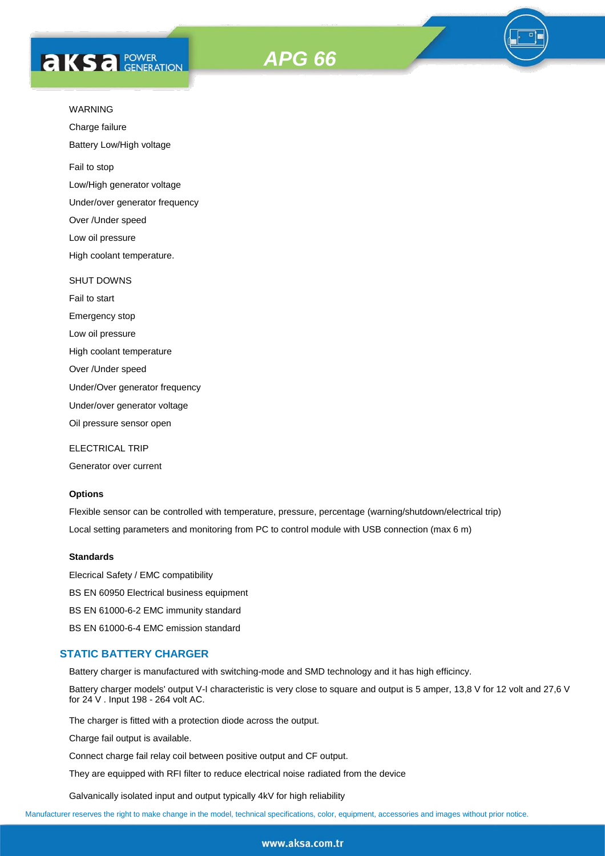



Charge failure

Battery Low/High voltage

Fail to stop

Low/High generator voltage

Under/over generator frequency

Over /Under speed

Low oil pressure

High coolant temperature.

#### SHUT DOWNS

Fail to start

Emergency stop

Low oil pressure

High coolant temperature

Over /Under speed

Under/Over generator frequency

Under/over generator voltage

Oil pressure sensor open

ELECTRICAL TRIP

Generator over current

# **Options**

Flexible sensor can be controlled with temperature, pressure, percentage (warning/shutdown/electrical trip) Local setting parameters and monitoring from PC to control module with USB connection (max 6 m)

#### **Standards**

Elecrical Safety / EMC compatibility BS EN 60950 Electrical business equipment BS EN 61000-6-2 EMC immunity standard BS EN 61000-6-4 EMC emission standard

# **STATIC BATTERY CHARGER**

Battery charger is manufactured with switching-mode and SMD technology and it has high efficincy.

Battery charger models' output V-I characteristic is very close to square and output is 5 amper, 13,8 V for 12 volt and 27,6 V for 24 V . Input 198 - 264 volt AC.

The charger is fitted with a protection diode across the output.

Charge fail output is available.

Connect charge fail relay coil between positive output and CF output.

They are equipped with RFI filter to reduce electrical noise radiated from the device

Galvanically isolated input and output typically 4kV for high reliability

Manufacturer reserves the right to make change in the model, technical specifications, color, equipment, accessories and images without prior notice.